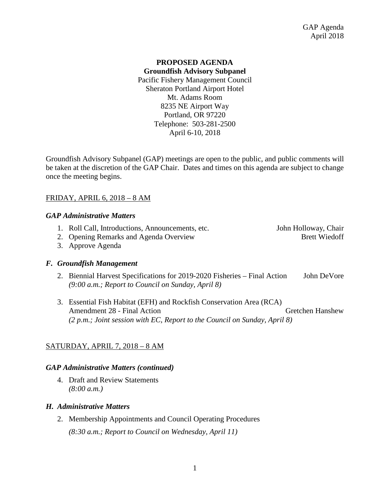# **PROPOSED AGENDA Groundfish Advisory Subpanel** Pacific Fishery Management Council Sheraton Portland Airport Hotel Mt. Adams Room 8235 NE Airport Way Portland, OR 97220 Telephone: 503-281-2500 April 6-10, 2018

Groundfish Advisory Subpanel (GAP) meetings are open to the public, and public comments will be taken at the discretion of the GAP Chair. Dates and times on this agenda are subject to change once the meeting begins.

# FRIDAY, APRIL 6, 2018 – 8 AM

### *GAP Administrative Matters*

- 1. Roll Call, Introductions, Announcements, etc. John Holloway, Chair
- 2. Opening Remarks and Agenda Overview Brett Wiedoff

3. Approve Agenda

## *F. Groundfish Management*

- 2. Biennial Harvest Specifications for 2019-2020 Fisheries Final Action John DeVore *(9:00 a.m.; Report to Council on Sunday, April 8)*
- 3. Essential Fish Habitat (EFH) and Rockfish Conservation Area (RCA) Amendment 28 - Final Action Green Hanshew Gretchen Hanshew *(2 p.m.; Joint session with EC, Report to the Council on Sunday, April 8)*

## SATURDAY, APRIL 7, 2018 – 8 AM

#### *GAP Administrative Matters (continued)*

4. Draft and Review Statements *(8:00 a.m.)*

## *H. Administrative Matters*

2. Membership Appointments and Council Operating Procedures

*(8:30 a.m.; Report to Council on Wednesday, April 11)*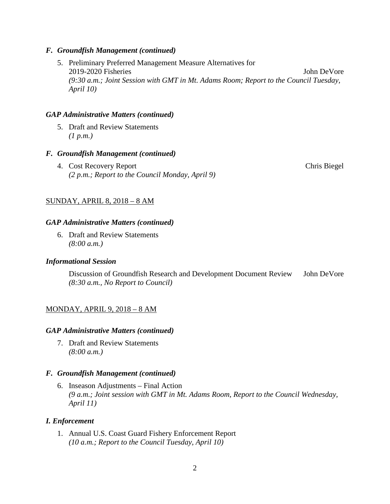## *F. Groundfish Management (continued)*

5. Preliminary Preferred Management Measure Alternatives for 2019-2020 Fisheries John DeVore *(9:30 a.m.; Joint Session with GMT in Mt. Adams Room; Report to the Council Tuesday, April 10)*

### *GAP Administrative Matters (continued)*

5. Draft and Review Statements *(1 p.m.)*

#### *F. Groundfish Management (continued)*

4. Cost Recovery Report Chris Biegel *(2 p.m.; Report to the Council Monday, April 9)*

## SUNDAY, APRIL 8, 2018 – 8 AM

### *GAP Administrative Matters (continued)*

6. Draft and Review Statements *(8:00 a.m.)*

#### *Informational Session*

Discussion of Groundfish Research and Development Document Review John DeVore *(8:30 a.m., No Report to Council)*

#### MONDAY, APRIL 9, 2018 – 8 AM

#### *GAP Administrative Matters (continued)*

7. Draft and Review Statements *(8:00 a.m.)*

#### *F. Groundfish Management (continued)*

6. Inseason Adjustments – Final Action *(9 a.m.; Joint session with GMT in Mt. Adams Room, Report to the Council Wednesday, April 11)*

#### *I. Enforcement*

1. Annual U.S. Coast Guard Fishery Enforcement Report *(10 a.m.; Report to the Council Tuesday, April 10)*